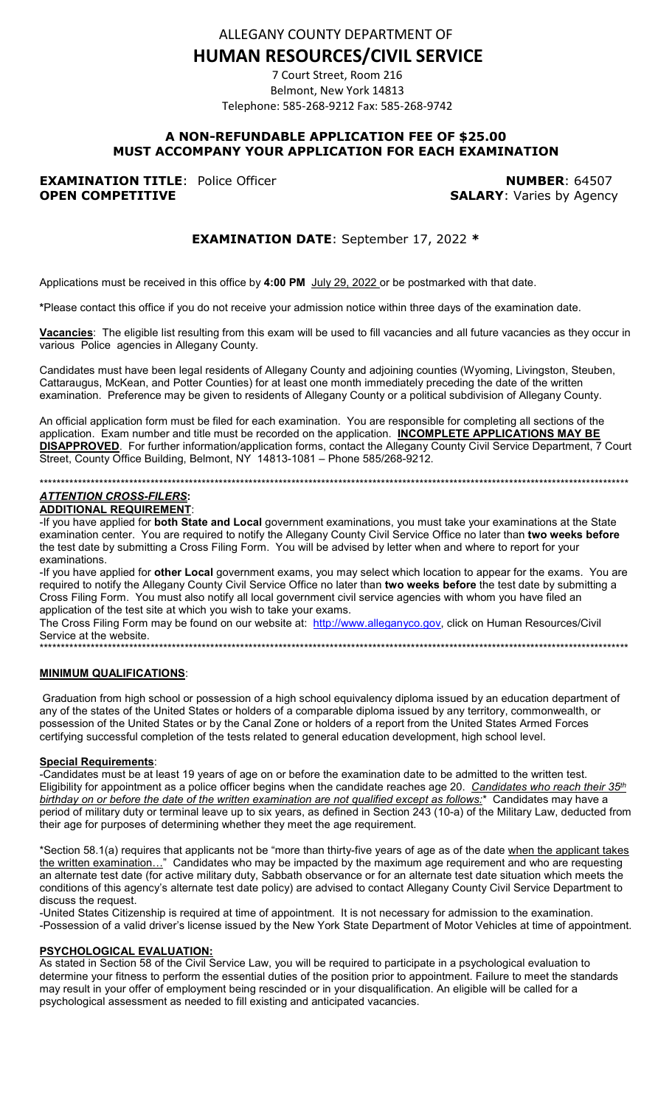ALLEGANY COUNTY DEPARTMENT OF

# **HUMAN RESOURCES/CIVIL SERVICE**

7 Court Street, Room 216 Belmont, New York 14813 Telephone: 585-268-9212 Fax: 585-268-9742

## A NON-REFUNDABLE APPLICATION FEE OF \$25.00 MUST ACCOMPANY YOUR APPLICATION FOR EACH EXAMINATION

**EXAMINATION TITLE: Police Officer OPEN COMPETITIVE** 

**NUMBER: 64507 SALARY: Varies by Agency** 

## **EXAMINATION DATE: September 17, 2022 \***

Applications must be received in this office by 4:00 PM July 29, 2022 or be postmarked with that date.

\*Please contact this office if you do not receive your admission notice within three days of the examination date.

Vacancies: The eligible list resulting from this exam will be used to fill vacancies and all future vacancies as they occur in various Police agencies in Allegany County.

Candidates must have been legal residents of Allegany County and adjoining counties (Wyoming, Livingston, Steuben, Cattaraugus, McKean, and Potter Counties) for at least one month immediately preceding the date of the written examination. Preference may be given to residents of Allegany County or a political subdivision of Allegany County.

An official application form must be filed for each examination. You are responsible for completing all sections of the application. Exam number and title must be recorded on the application. INCOMPLETE APPLICATIONS MAY BE DISAPPROVED. For further information/application forms, contact the Allegany County Civil Service Department, 7 Court Street, County Office Building, Belmont, NY 14813-1081 - Phone 585/268-9212.

## 

## **ATTENTION CROSS-FILERS:**

**ADDITIONAL REQUIREMENT:** 

-If you have applied for both State and Local government examinations, you must take your examinations at the State examination center. You are required to notify the Allegany County Civil Service Office no later than two weeks before the test date by submitting a Cross Filing Form. You will be advised by letter when and where to report for your examinations.

-If you have applied for other Local government exams, you may select which location to appear for the exams. You are required to notify the Allegany County Civil Service Office no later than two weeks before the test date by submitting a Cross Filing Form. You must also notify all local government civil service agencies with whom you have filed an application of the test site at which you wish to take your exams.

The Cross Filing Form may be found on our website at: http://www.alleganyco.gov, click on Human Resources/Civil Service at the website. 

#### **MINIMUM QUALIFICATIONS:**

Graduation from high school or possession of a high school equivalency diploma issued by an education department of any of the states of the United States or holders of a comparable diploma issued by any territory, commonwealth, or possession of the United States or by the Canal Zone or holders of a report from the United States Armed Forces certifying successful completion of the tests related to general education development, high school level.

#### **Special Requirements:**

-Candidates must be at least 19 years of age on or before the examination date to be admitted to the written test. Eligibility for appointment as a police officer begins when the candidate reaches age 20. Candidates who reach their 35<sup>th</sup> birthday on or before the date of the written examination are not qualified except as follows:\* Candidates may have a period of military duty or terminal leave up to six years, as defined in Section 243 (10-a) of the Military Law, deducted from their age for purposes of determining whether they meet the age requirement.

\*Section 58.1(a) requires that applicants not be "more than thirty-five years of age as of the date when the applicant takes the written examination..." Candidates who may be impacted by the maximum age requirement and who are requesting<br>an alternate test date (for active military duty, Sabbath observance or for an alternate test date situation conditions of this agency's alternate test date policy) are advised to contact Allegany County Civil Service Department to discuss the request.

-United States Citizenship is required at time of appointment. It is not necessary for admission to the examination. -Possession of a valid driver's license issued by the New York State Department of Motor Vehicles at time of appointment.

#### **PSYCHOLOGICAL EVALUATION:**

As stated in Section 58 of the Civil Service Law, you will be required to participate in a psychological evaluation to determine your fitness to perform the essential duties of the position prior to appointment. Failure to meet the standards may result in your offer of employment being rescinded or in your disqualification. An eligible will be called for a psychological assessment as needed to fill existing and anticipated vacancies.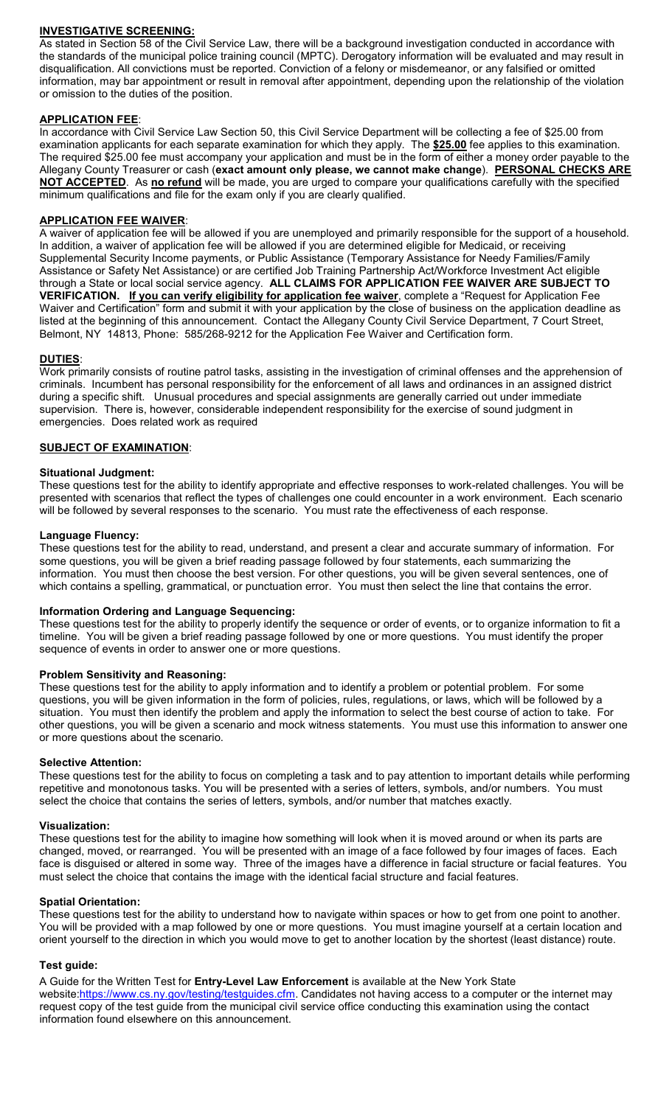### **INVESTIGATIVE SCREENING:**

As stated in Section 58 of the Civil Service Law, there will be a background investigation conducted in accordance with the standards of the municipal police training council (MPTC). Derogatory information will be evaluated and may result in disqualification. All convictions must be reported. Conviction of a felony or misdemeanor, or any falsified or omitted information, may bar appointment or result in removal after appointment, depending upon the relationship of the violation or omission to the duties of the position.

#### **APPLICATION FEE**:

In accordance with Civil Service Law Section 50, this Civil Service Department will be collecting a fee of \$25.00 from examination applicants for each separate examination for which they apply. The **\$25.00** fee applies to this examination. The required \$25.00 fee must accompany your application and must be in the form of either a money order payable to the Allegany County Treasurer or cash (**exact amount only please, we cannot make change**). **PERSONAL CHECKS ARE NOT ACCEPTED**. As **no refund** will be made, you are urged to compare your qualifications carefully with the specified minimum qualifications and file for the exam only if you are clearly qualified.

#### **APPLICATION FEE WAIVER**:

A waiver of application fee will be allowed if you are unemployed and primarily responsible for the support of a household. In addition, a waiver of application fee will be allowed if you are determined eligible for Medicaid, or receiving Supplemental Security Income payments, or Public Assistance (Temporary Assistance for Needy Families/Family Assistance or Safety Net Assistance) or are certified Job Training Partnership Act/Workforce Investment Act eligible through a State or local social service agency. **ALL CLAIMS FOR APPLICATION FEE WAIVER ARE SUBJECT TO VERIFICATION. If you can verify eligibility for application fee waiver**, complete a "Request for Application Fee Waiver and Certification" form and submit it with your application by the close of business on the application deadline as listed at the beginning of this announcement. Contact the Allegany County Civil Service Department, 7 Court Street, Belmont, NY 14813, Phone: 585/268-9212 for the Application Fee Waiver and Certification form.

#### **DUTIES**:

Work primarily consists of routine patrol tasks, assisting in the investigation of criminal offenses and the apprehension of criminals. Incumbent has personal responsibility for the enforcement of all laws and ordinances in an assigned district during a specific shift. Unusual procedures and special assignments are generally carried out under immediate supervision. There is, however, considerable independent responsibility for the exercise of sound judgment in emergencies. Does related work as required

#### **SUBJECT OF EXAMINATION**:

#### **Situational Judgment:**

These questions test for the ability to identify appropriate and effective responses to work-related challenges. You will be presented with scenarios that reflect the types of challenges one could encounter in a work environment. Each scenario will be followed by several responses to the scenario. You must rate the effectiveness of each response.

#### **Language Fluency:**

These questions test for the ability to read, understand, and present a clear and accurate summary of information. For some questions, you will be given a brief reading passage followed by four statements, each summarizing the information. You must then choose the best version. For other questions, you will be given several sentences, one of which contains a spelling, grammatical, or punctuation error. You must then select the line that contains the error.

#### **Information Ordering and Language Sequencing:**

These questions test for the ability to properly identify the sequence or order of events, or to organize information to fit a timeline. You will be given a brief reading passage followed by one or more questions. You must identify the proper sequence of events in order to answer one or more questions.

#### **Problem Sensitivity and Reasoning:**

These questions test for the ability to apply information and to identify a problem or potential problem. For some questions, you will be given information in the form of policies, rules, regulations, or laws, which will be followed by a situation. You must then identify the problem and apply the information to select the best course of action to take. For other questions, you will be given a scenario and mock witness statements. You must use this information to answer one or more questions about the scenario.

#### **Selective Attention:**

These questions test for the ability to focus on completing a task and to pay attention to important details while performing repetitive and monotonous tasks. You will be presented with a series of letters, symbols, and/or numbers. You must select the choice that contains the series of letters, symbols, and/or number that matches exactly.

#### **Visualization:**

These questions test for the ability to imagine how something will look when it is moved around or when its parts are changed, moved, or rearranged. You will be presented with an image of a face followed by four images of faces. Each face is disguised or altered in some way. Three of the images have a difference in facial structure or facial features. You must select the choice that contains the image with the identical facial structure and facial features.

#### **Spatial Orientation:**

These questions test for the ability to understand how to navigate within spaces or how to get from one point to another. You will be provided with a map followed by one or more questions. You must imagine yourself at a certain location and orient yourself to the direction in which you would move to get to another location by the shortest (least distance) route.

#### **Test guide:**

A Guide for the Written Test for **Entry-Level Law Enforcement** is available at the New York State website[:https://www.cs.ny.gov/testing/testguides.cfm.](https://www.cs.ny.gov/testing/testguides.cfm) Candidates not having access to a computer or the internet may request copy of the test guide from the municipal civil service office conducting this examination using the contact information found elsewhere on this announcement.